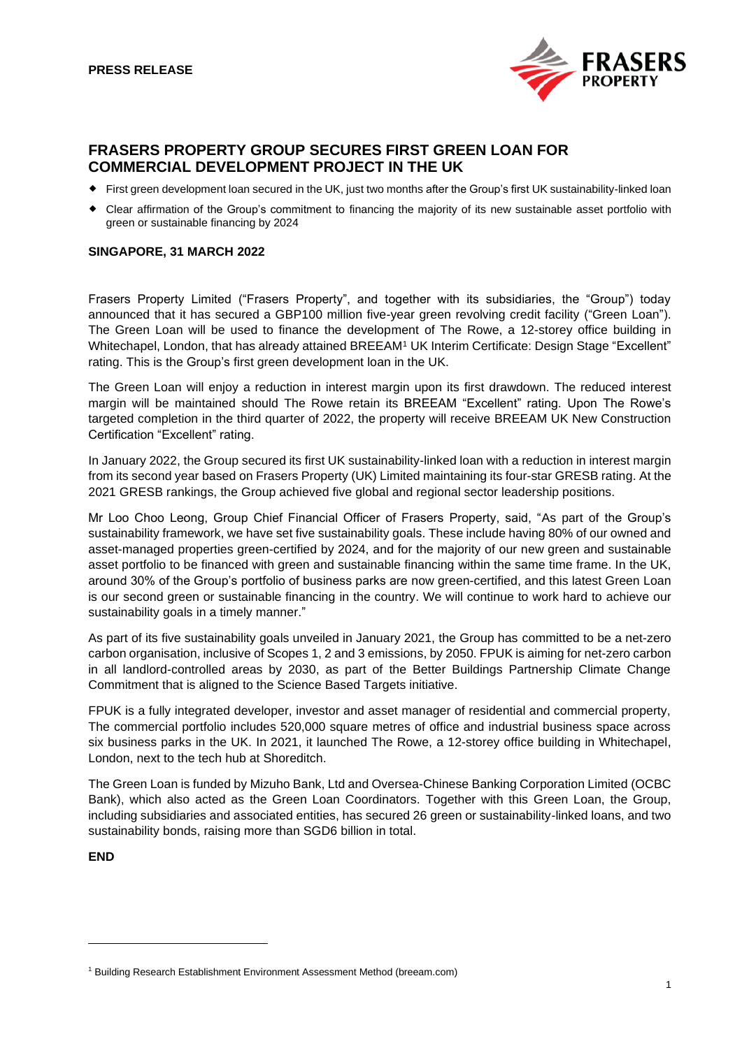

# **FRASERS PROPERTY GROUP SECURES FIRST GREEN LOAN FOR COMMERCIAL DEVELOPMENT PROJECT IN THE UK**

- First green development loan secured in the UK, just two months after the Group's first UK sustainability-linked loan
- Clear affirmation of the Group's commitment to financing the majority of its new sustainable asset portfolio with green or sustainable financing by 2024

## **SINGAPORE, 31 MARCH 2022**

Frasers Property Limited ("Frasers Property", and together with its subsidiaries, the "Group") today announced that it has secured a GBP100 million five-year green revolving credit facility ("Green Loan"). The Green Loan will be used to finance the development of The Rowe, a 12-storey office building in Whitechapel, London, that has already attained BREEAM<sup>1</sup> UK Interim Certificate: Design Stage "Excellent" rating. This is the Group's first green development loan in the UK.

The Green Loan will enjoy a reduction in interest margin upon its first drawdown. The reduced interest margin will be maintained should The Rowe retain its BREEAM "Excellent" rating. Upon The Rowe's targeted completion in the third quarter of 2022, the property will receive BREEAM UK New Construction Certification "Excellent" rating.

In January 2022, the Group secured its first UK sustainability-linked loan with a reduction in interest margin from its second year based on Frasers Property (UK) Limited maintaining its four-star GRESB rating. At the 2021 GRESB rankings, the Group achieved five global and regional sector leadership positions.

Mr Loo Choo Leong, Group Chief Financial Officer of Frasers Property, said, "As part of the Group's sustainability framework, we have set five sustainability goals. These include having 80% of our owned and asset-managed properties green-certified by 2024, and for the majority of our new green and sustainable asset portfolio to be financed with green and sustainable financing within the same time frame. In the UK, around 30% of the Group's portfolio of business parks are now green-certified, and this latest Green Loan is our second green or sustainable financing in the country. We will continue to work hard to achieve our sustainability goals in a timely manner."

As part of its five sustainability goals unveiled in January 2021, the Group has committed to be a net-zero carbon organisation, inclusive of Scopes 1, 2 and 3 emissions, by 2050. FPUK is aiming for net-zero carbon in all landlord-controlled areas by 2030, as part of the Better Buildings Partnership Climate Change Commitment that is aligned to the Science Based Targets initiative.

FPUK is a fully integrated developer, investor and asset manager of residential and commercial property, The commercial portfolio includes 520,000 square metres of office and industrial business space across six business parks in the UK. In 2021, it launched The Rowe, a 12-storey office building in Whitechapel, London, next to the tech hub at Shoreditch.

The Green Loan is funded by Mizuho Bank, Ltd and Oversea-Chinese Banking Corporation Limited (OCBC Bank), which also acted as the Green Loan Coordinators. Together with this Green Loan, the Group, including subsidiaries and associated entities, has secured 26 green or sustainability-linked loans, and two sustainability bonds, raising more than SGD6 billion in total.

**END** 

<sup>&</sup>lt;sup>1</sup> Building Research Establishment Environment Assessment Method (breeam.com)